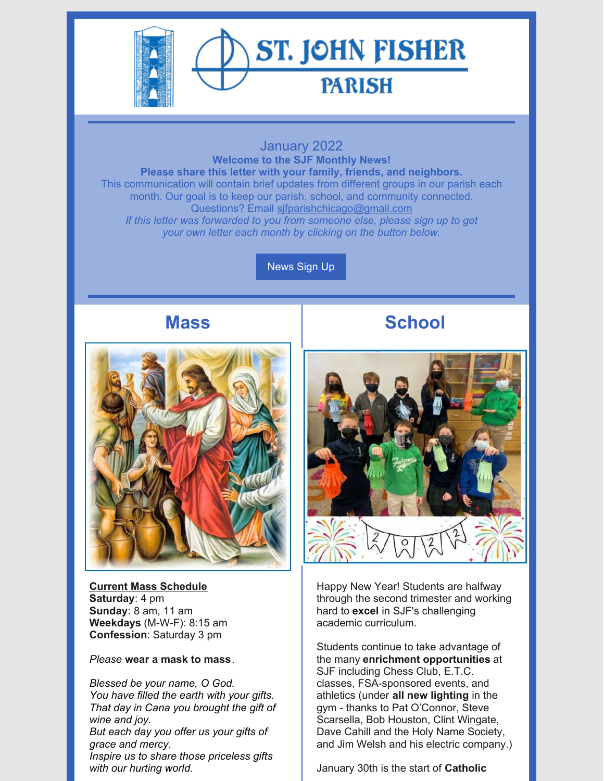

# **ST. JOHN FISHER PARISH**

#### January 2022 **Welcome to the SJF Monthly News! Please share this letter with your family, friends, and neighbors.** This communication will contain brief updates from different groups in our parish each month. Our goal is to keep our parish, school, and community connected. Questions? Email [sjfparishchicago@gmail.com](mailto:sjfparishchicago@gmail.com) *If this letter was forwarded to you from someone else, please sign up to get your own letter each month by clicking on the button below.*

[News](https://docs.google.com/forms/d/e/1FAIpQLSey4SlJOgpZFdzyTJAg0kyqzXphBqVOrwQeI0U8MzsWtt6Hvg/viewform?usp=sf_link) Sign Up

### **Mass**



**Current Mass Schedule Saturday**: 4 pm **Sunday**: 8 am, 11 am **Weekdays** (M-W-F): 8:15 am **Confession**: Saturday 3 pm

*Please* **wear a mask to mass**.

*Blessed be your name, O God. You have filled the earth with your gifts. That day in Cana you brought the gift of wine and joy. But each day you offer us your gifts of grace and mercy. Inspire us to share those priceless gifts with our hurting world.*

## **School**



Happy New Year! Students are halfway through the second trimester and working hard to **excel** in SJF's challenging academic curriculum.

Students continue to take advantage of the many **enrichment opportunities** at SJF including Chess Club, E.T.C. classes, FSA-sponsored events, and athletics (under **all new lighting** in the gym - thanks to Pat O'Connor, Steve Scarsella, Bob Houston, Clint Wingate, Dave Cahill and the Holy Name Society, and Jim Welsh and his electric company.)

January 30th is the start of **Catholic**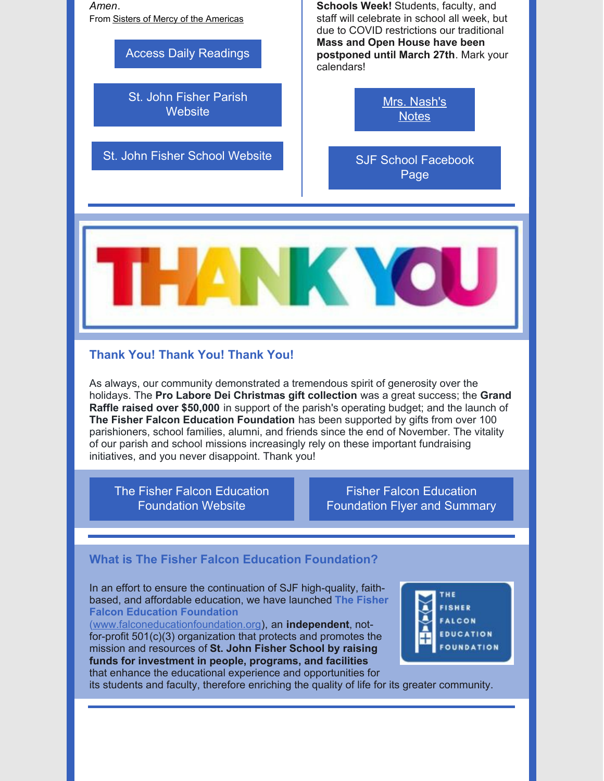*Amen*. From Sisters of Mercy of the [Americas](https://www.facebook.com/MercySisters/)

#### Access Daily [Readings](https://bible.usccb.org/)

St. John Fisher Parish **[Website](https://www.stjohnfisherparish.net/)** 

St. John Fisher School [Website](https://www.sjfschool.net/)

**Schools Week!** Students, faculty, and staff will celebrate in school all week, but due to COVID restrictions our traditional **Mass and Open House have been postponed until March 27th**. Mark your calendars!

> Mrs. [Nash's](https://www.sjfschool.net/news/) **Notes**

SJF School [Facebook](https://www.facebook.com/sjfschoolchicago) Page



#### **Thank You! Thank You! Thank You!**

As always, our community demonstrated a tremendous spirit of generosity over the holidays. The **Pro Labore Dei Christmas gift collection** was a great success; the **Grand Raffle raised over \$50,000** in support of the parish's operating budget; and the launch of **The Fisher Falcon Education Foundation** has been supported by gifts from over 100 parishioners, school families, alumni, and friends since the end of November. The vitality of our parish and school missions increasingly rely on these important fundraising initiatives, and you never disappoint. Thank you!

The Fisher Falcon Education [Foundation](http://www.falconeducationfoundation.org) Website

Fisher Falcon Education [Foundation](https://drive.google.com/file/d/1pXwXc_cI5-EEdRx7MiybrYqcZ26OwK3D/view?usp=sharing) Flyer and Summary

#### **What is The Fisher Falcon Education Foundation?**

In an effort to ensure the continuation of SJF high-quality, faithbased, and affordable education, we have launched **The Fisher Falcon Education [Foundation](http://www.falconeducationfoundation.org)**

[\(www.falconeducationfoundation.org](http://www.falconeducationfoundation.org)), an **independent**, notfor-profit 501(c)(3) organization that protects and promotes the mission and resources of **St. John Fisher School by raising funds for investment in people, programs, and facilities** that enhance the educational experience and opportunities for



its students and faculty, therefore enriching the quality of life for its greater community.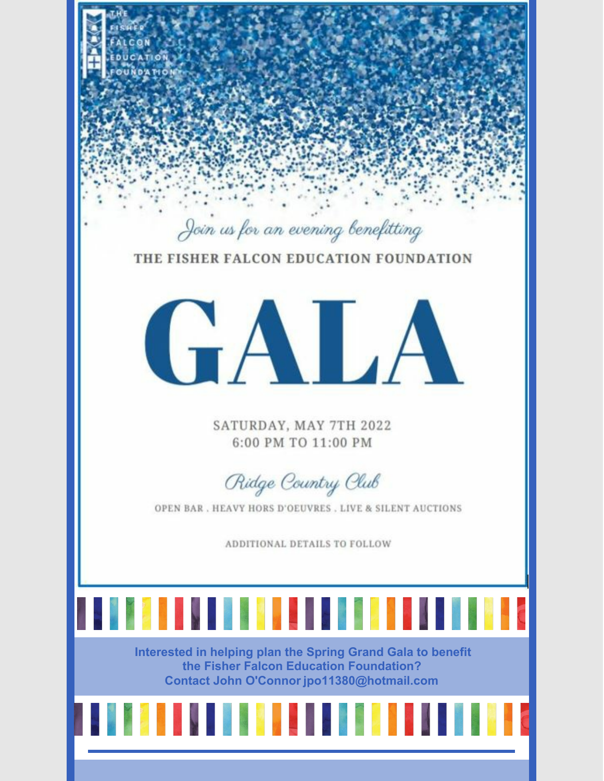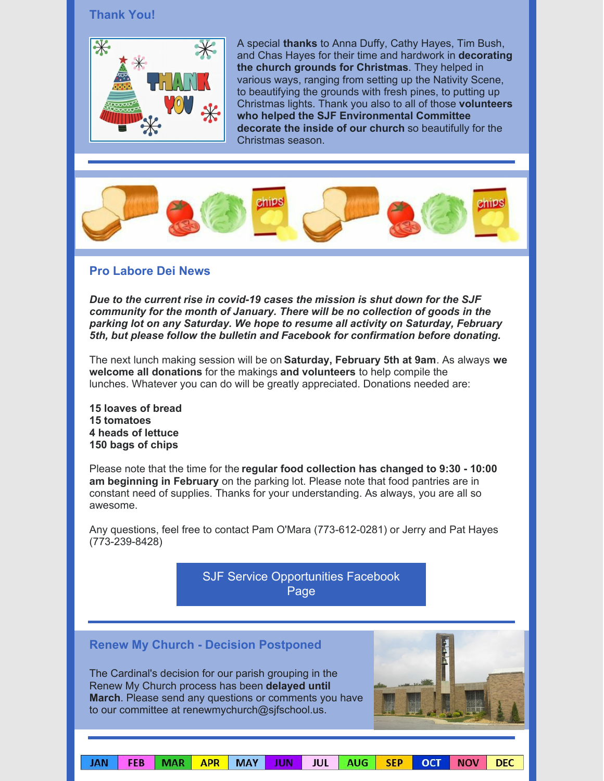#### **Thank You!**



A special **thanks** to Anna Duffy, Cathy Hayes, Tim Bush, and Chas Hayes for their time and hardwork in **decorating the church grounds for Christmas**. They helped in various ways, ranging from setting up the Nativity Scene, to beautifying the grounds with fresh pines, to putting up Christmas lights. Thank you also to all of those **volunteers who helped the SJF Environmental Committee decorate the inside of our church** so beautifully for the Christmas season.



#### **Pro Labore Dei News**

*Due to the current rise in covid-19 cases the mission is shut down for the SJF community for the month of January. There will be no collection of goods in the parking lot on any Saturday. We hope to resume all activity on Saturday, February 5th, but please follow the bulletin and Facebook for confirmation before donating.*

The next lunch making session will be on **Saturday, February 5th at 9am**. As always **we welcome all donations** for the makings **and volunteers** to help compile the lunches. Whatever you can do will be greatly appreciated. Donations needed are:

 **loaves of bread 15 tomatoes heads of lettuce bags of chips**

Please note that the time for the **regular food collection has changed to 9:30 - 10:00 am beginning in February** on the parking lot. Please note that food pantries are in constant need of supplies. Thanks for your understanding. As always, you are all so awesome.

Any questions, feel free to contact Pam O'Mara (773-612-0281) or Jerry and Pat Hayes (773-239-8428)

> SJF Service [Opportunities](https://www.facebook.com/groups/326861160840154) Facebook Page

|    |            | <b>Renew My Church - Decision Postponed</b><br>The Cardinal's decision for our parish grouping in the<br>Renew My Church process has been delayed until<br>March. Please send any questions or comments you have<br>to our committee at renewmychurch@sjfschool.us. |     |     |     |    |     |
|----|------------|---------------------------------------------------------------------------------------------------------------------------------------------------------------------------------------------------------------------------------------------------------------------|-----|-----|-----|----|-----|
| FΒ | <b>APR</b> | MA\                                                                                                                                                                                                                                                                 | JUL | AUG | SFP | NO | DEC |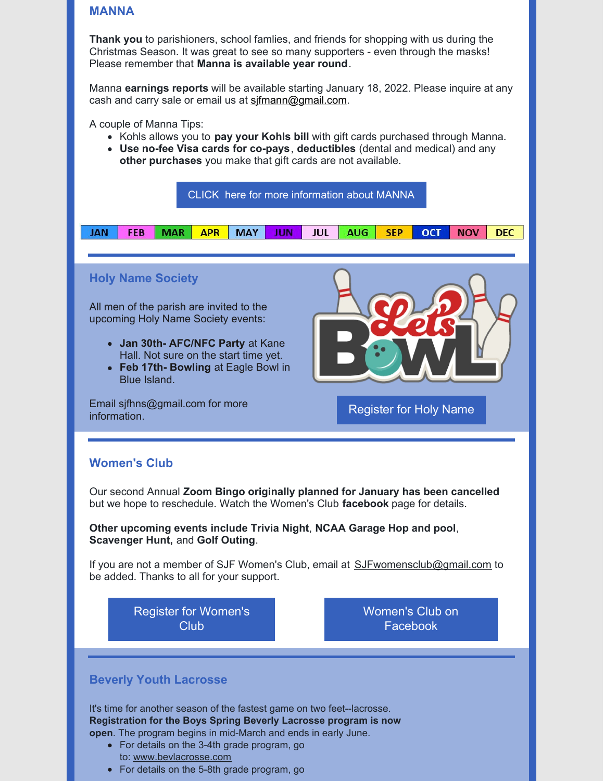#### **MANNA**

**Thank you** to parishioners, school famlies, and friends for shopping with us during the Christmas Season. It was great to see so many supporters - even through the masks! Please remember that **Manna is available year round**.

Manna **earnings reports** will be available starting January 18, 2022. Please inquire at any cash and carry sale or email us at [sjfmann@gmail.com](mailto:sjfmann@gmail.com).

A couple of Manna Tips:

- Kohls allows you to **pay your Kohls bill** with gift cards purchased through Manna.
- **Use no-fee Visa cards for co-pays**, **deductibles** (dental and medical) and any **other purchases** you make that gift cards are not available.



For details on the 5-8th grade program, go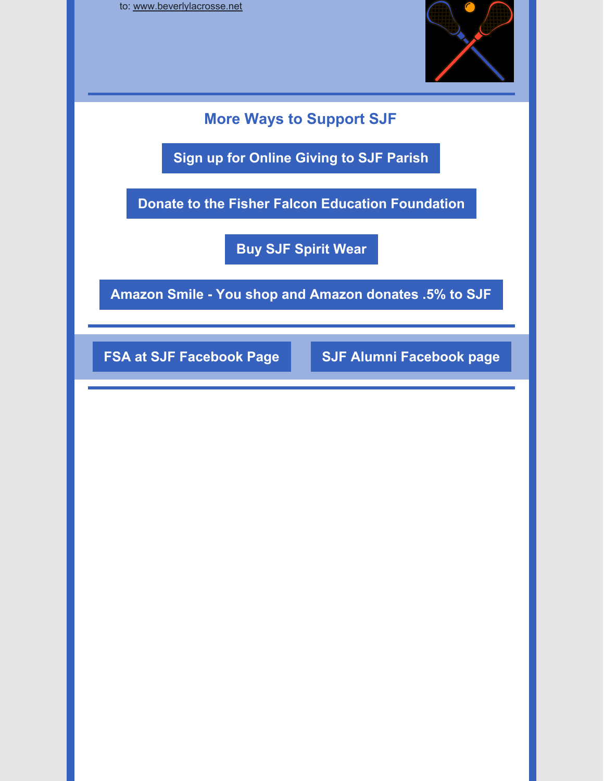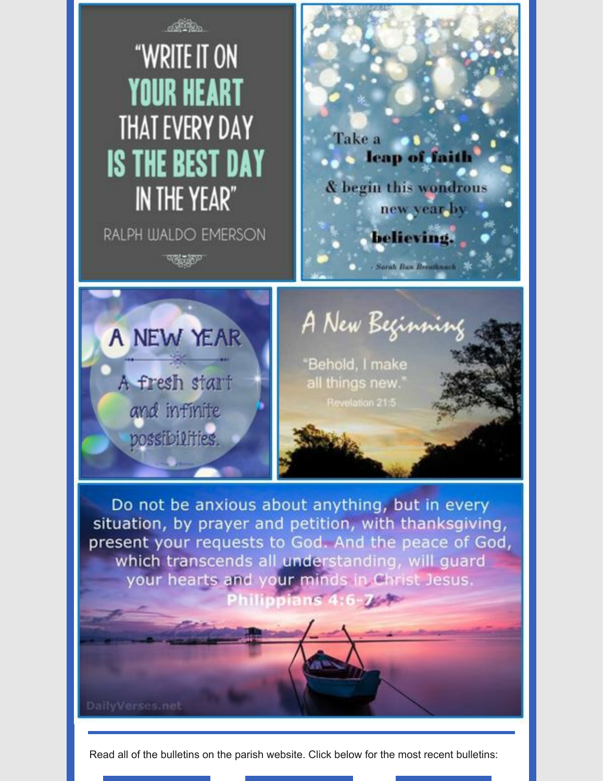

Read all of the bulletins on the parish website. Click below for the most recent bulletins: